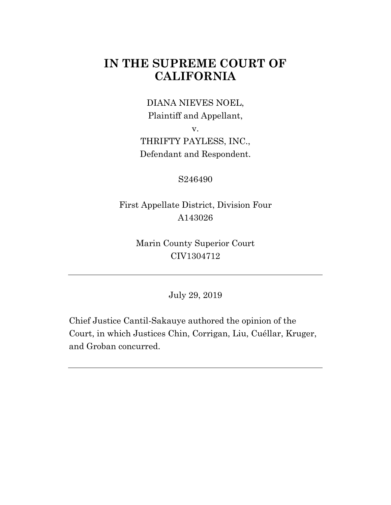# **IN THE SUPREME COURT OF CALIFORNIA**

DIANA NIEVES NOEL, Plaintiff and Appellant,

v.

THRIFTY PAYLESS, INC., Defendant and Respondent.

S246490

First Appellate District, Division Four A143026

> Marin County Superior Court CIV1304712

> > July 29, 2019

Chief Justice Cantil-Sakauye authored the opinion of the Court, in which Justices Chin, Corrigan, Liu, Cuéllar, Kruger, and Groban concurred.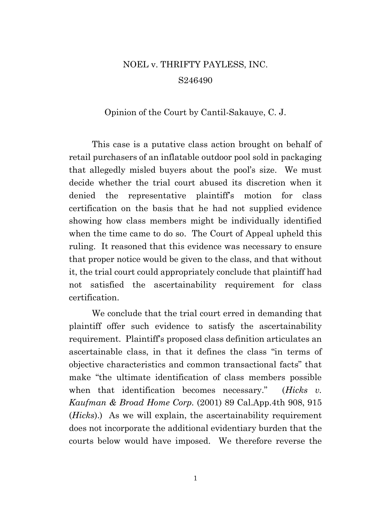# NOEL v. THRIFTY PAYLESS, INC. S246490

#### Opinion of the Court by Cantil-Sakauye, C. J.

This case is a putative class action brought on behalf of retail purchasers of an inflatable outdoor pool sold in packaging that allegedly misled buyers about the pool's size. We must decide whether the trial court abused its discretion when it denied the representative plaintiff's motion for class certification on the basis that he had not supplied evidence showing how class members might be individually identified when the time came to do so. The Court of Appeal upheld this ruling. It reasoned that this evidence was necessary to ensure that proper notice would be given to the class, and that without it, the trial court could appropriately conclude that plaintiff had not satisfied the ascertainability requirement for class certification.

We conclude that the trial court erred in demanding that plaintiff offer such evidence to satisfy the ascertainability requirement. Plaintiff's proposed class definition articulates an ascertainable class, in that it defines the class "in terms of objective characteristics and common transactional facts" that make "the ultimate identification of class members possible when that identification becomes necessary." (*Hicks v. Kaufman & Broad Home Corp.* (2001) 89 Cal.App.4th 908, 915 (*Hicks*).) As we will explain, the ascertainability requirement does not incorporate the additional evidentiary burden that the courts below would have imposed. We therefore reverse the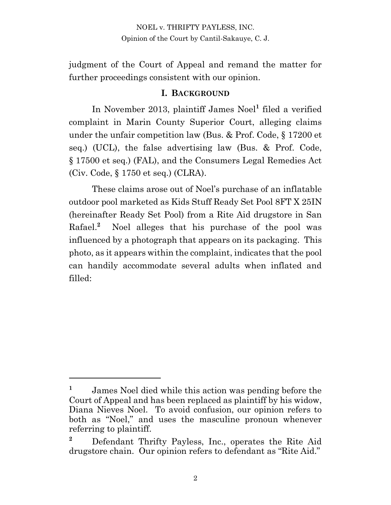judgment of the Court of Appeal and remand the matter for further proceedings consistent with our opinion.

#### **I. BACKGROUND**

In November 2013, plaintiff James Noel**<sup>1</sup>** filed a verified complaint in Marin County Superior Court, alleging claims under the unfair competition law (Bus. & Prof. Code, § 17200 et seq.) (UCL), the false advertising law (Bus. & Prof. Code, § 17500 et seq.) (FAL), and the Consumers Legal Remedies Act (Civ. Code, § 1750 et seq.) (CLRA).

These claims arose out of Noel's purchase of an inflatable outdoor pool marketed as Kids Stuff Ready Set Pool 8FT X 25IN (hereinafter Ready Set Pool) from a Rite Aid drugstore in San Rafael.<sup>2</sup> Noel alleges that his purchase of the pool was influenced by a photograph that appears on its packaging. This photo, as it appears within the complaint, indicates that the pool can handily accommodate several adults when inflated and filled:

**<sup>1</sup>** James Noel died while this action was pending before the Court of Appeal and has been replaced as plaintiff by his widow, Diana Nieves Noel. To avoid confusion, our opinion refers to both as "Noel," and uses the masculine pronoun whenever referring to plaintiff.

**<sup>2</sup>** Defendant Thrifty Payless, Inc., operates the Rite Aid drugstore chain. Our opinion refers to defendant as "Rite Aid."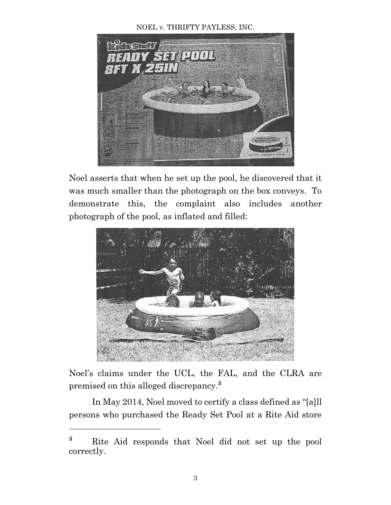#### NOEL v. THRIFTY PAYLESS, INC.



Noel asserts that when he set up the pool, he discovered that it was much smaller than the photograph on the box conveys. To demonstrate this, the complaint also includes another photograph of the pool, as inflated and filled:



Noel's claims under the UCL, the FAL, and the CLRA are premised on this alleged discrepancy.**<sup>3</sup>**

In May 2014, Noel moved to certify a class defined as "[a]ll persons who purchased the Ready Set Pool at a Rite Aid store

**<sup>3</sup>** Rite Aid responds that Noel did not set up the pool correctly.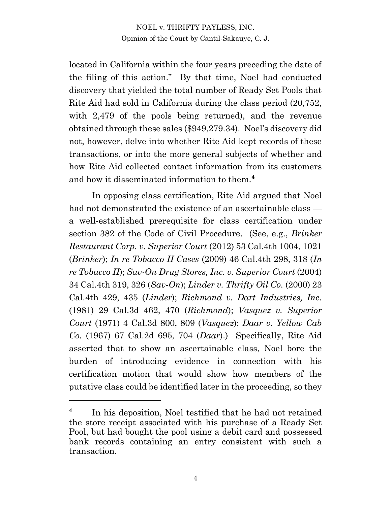located in California within the four years preceding the date of the filing of this action." By that time, Noel had conducted discovery that yielded the total number of Ready Set Pools that Rite Aid had sold in California during the class period (20,752, with 2,479 of the pools being returned), and the revenue obtained through these sales (\$949,279.34). Noel's discovery did not, however, delve into whether Rite Aid kept records of these transactions, or into the more general subjects of whether and how Rite Aid collected contact information from its customers and how it disseminated information to them.**<sup>4</sup>**

In opposing class certification, Rite Aid argued that Noel had not demonstrated the existence of an ascertainable class a well-established prerequisite for class certification under section 382 of the Code of Civil Procedure. (See, e.g., *Brinker Restaurant Corp. v. Superior Court* (2012) 53 Cal.4th 1004, 1021 (*Brinker*); *In re Tobacco II Cases* (2009) 46 Cal.4th 298, 318 (*In re Tobacco II*); *Sav-On Drug Stores, Inc. v. Superior Court* (2004) 34 Cal.4th 319, 326 (*Sav-On*); *Linder v. Thrifty Oil Co.* (2000) 23 Cal.4th 429, 435 (*Linder*); *Richmond v. Dart Industries, Inc.* (1981) 29 Cal.3d 462, 470 (*Richmond*); *Vasquez v. Superior Court* (1971) 4 Cal.3d 800, 809 (*Vasquez*); *Daar v. Yellow Cab Co.* (1967) 67 Cal.2d 695, 704 (*Daar*).) Specifically, Rite Aid asserted that to show an ascertainable class, Noel bore the burden of introducing evidence in connection with his certification motion that would show how members of the putative class could be identified later in the proceeding, so they

**<sup>4</sup>** In his deposition, Noel testified that he had not retained the store receipt associated with his purchase of a Ready Set Pool, but had bought the pool using a debit card and possessed bank records containing an entry consistent with such a transaction.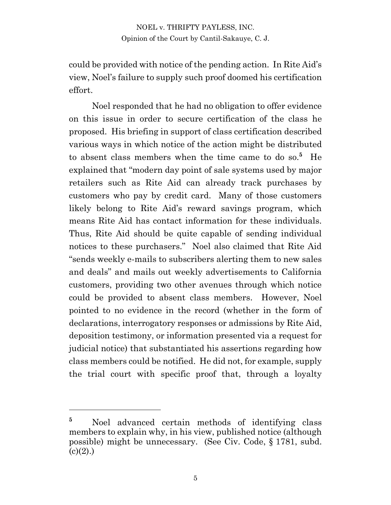could be provided with notice of the pending action. In Rite Aid's view, Noel's failure to supply such proof doomed his certification effort.

Noel responded that he had no obligation to offer evidence on this issue in order to secure certification of the class he proposed. His briefing in support of class certification described various ways in which notice of the action might be distributed to absent class members when the time came to do so.**<sup>5</sup>** He explained that "modern day point of sale systems used by major retailers such as Rite Aid can already track purchases by customers who pay by credit card. Many of those customers likely belong to Rite Aid's reward savings program, which means Rite Aid has contact information for these individuals. Thus, Rite Aid should be quite capable of sending individual notices to these purchasers." Noel also claimed that Rite Aid "sends weekly e-mails to subscribers alerting them to new sales and deals" and mails out weekly advertisements to California customers, providing two other avenues through which notice could be provided to absent class members. However, Noel pointed to no evidence in the record (whether in the form of declarations, interrogatory responses or admissions by Rite Aid, deposition testimony, or information presented via a request for judicial notice) that substantiated his assertions regarding how class members could be notified. He did not, for example, supply the trial court with specific proof that, through a loyalty

<sup>&</sup>lt;sup>5</sup> Noel advanced certain methods of identifying class members to explain why, in his view, published notice (although possible) might be unnecessary. (See Civ. Code, § 1781, subd.  $(c)(2)$ .)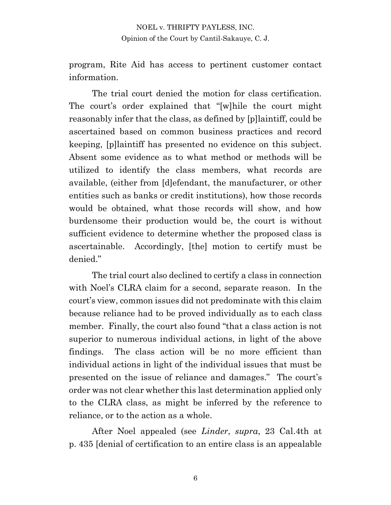program, Rite Aid has access to pertinent customer contact information.

The trial court denied the motion for class certification. The court's order explained that "[w]hile the court might reasonably infer that the class, as defined by [p]laintiff, could be ascertained based on common business practices and record keeping, [p]laintiff has presented no evidence on this subject. Absent some evidence as to what method or methods will be utilized to identify the class members, what records are available, (either from [d]efendant, the manufacturer, or other entities such as banks or credit institutions), how those records would be obtained, what those records will show, and how burdensome their production would be, the court is without sufficient evidence to determine whether the proposed class is ascertainable. Accordingly, [the] motion to certify must be denied."

The trial court also declined to certify a class in connection with Noel's CLRA claim for a second, separate reason. In the court's view, common issues did not predominate with this claim because reliance had to be proved individually as to each class member. Finally, the court also found "that a class action is not superior to numerous individual actions, in light of the above findings. The class action will be no more efficient than individual actions in light of the individual issues that must be presented on the issue of reliance and damages." The court's order was not clear whether this last determination applied only to the CLRA class, as might be inferred by the reference to reliance, or to the action as a whole.

After Noel appealed (see *Linder*, *supra*, 23 Cal.4th at p. 435 [denial of certification to an entire class is an appealable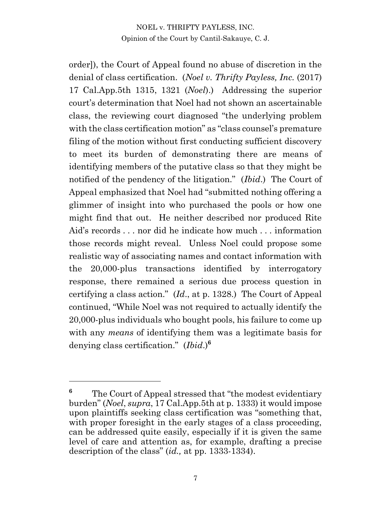order]), the Court of Appeal found no abuse of discretion in the denial of class certification. (*Noel v. Thrifty Payless, Inc.* (2017) 17 Cal.App.5th 1315, 1321 (*Noel*).) Addressing the superior court's determination that Noel had not shown an ascertainable class, the reviewing court diagnosed "the underlying problem with the class certification motion" as "class counsel's premature filing of the motion without first conducting sufficient discovery to meet its burden of demonstrating there are means of identifying members of the putative class so that they might be notified of the pendency of the litigation." (*Ibid*.) The Court of Appeal emphasized that Noel had "submitted nothing offering a glimmer of insight into who purchased the pools or how one might find that out. He neither described nor produced Rite Aid's records . . . nor did he indicate how much . . . information those records might reveal. Unless Noel could propose some realistic way of associating names and contact information with the 20,000-plus transactions identified by interrogatory response, there remained a serious due process question in certifying a class action." (*Id*., at p. 1328.) The Court of Appeal continued, "While Noel was not required to actually identify the 20,000-plus individuals who bought pools, his failure to come up with any *means* of identifying them was a legitimate basis for denying class certification." (*Ibid*.)**<sup>6</sup>**

<sup>&</sup>lt;sup>6</sup> The Court of Appeal stressed that "the modest evidentiary" burden" (*Noel*, *supra*, 17 Cal.App.5th at p. 1333) it would impose upon plaintiffs seeking class certification was "something that, with proper foresight in the early stages of a class proceeding, can be addressed quite easily, especially if it is given the same level of care and attention as, for example, drafting a precise description of the class" (*id.,* at pp. 1333-1334).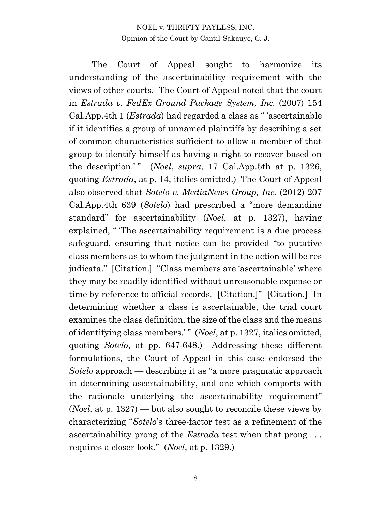The Court of Appeal sought to harmonize its understanding of the ascertainability requirement with the views of other courts. The Court of Appeal noted that the court in *Estrada v. FedEx Ground Package System, Inc.* (2007) 154 Cal.App.4th 1 (*Estrada*) had regarded a class as " 'ascertainable if it identifies a group of unnamed plaintiffs by describing a set of common characteristics sufficient to allow a member of that group to identify himself as having a right to recover based on the description.'" (*Noel*, *supra*, 17 Cal.App.5th at p. 1326, quoting *Estrada*, at p. 14, italics omitted.) The Court of Appeal also observed that *Sotelo v. MediaNews Group, Inc.* (2012) 207 Cal.App.4th 639 (*Sotelo*) had prescribed a "more demanding standard" for ascertainability (*Noel*, at p. 1327), having explained, "The ascertainability requirement is a due process safeguard, ensuring that notice can be provided "to putative class members as to whom the judgment in the action will be res judicata." [Citation.] "Class members are 'ascertainable' where they may be readily identified without unreasonable expense or time by reference to official records. [Citation.]" [Citation.] In determining whether a class is ascertainable, the trial court examines the class definition, the size of the class and the means of identifying class members.' " (*Noel*, at p. 1327, italics omitted, quoting *Sotelo*, at pp. 647-648.) Addressing these different formulations, the Court of Appeal in this case endorsed the *Sotelo* approach — describing it as "a more pragmatic approach in determining ascertainability, and one which comports with the rationale underlying the ascertainability requirement" (*Noel*, at p. 1327) — but also sought to reconcile these views by characterizing "*Sotelo*'s three-factor test as a refinement of the ascertainability prong of the *Estrada* test when that prong . . . requires a closer look." (*Noel*, at p. 1329.)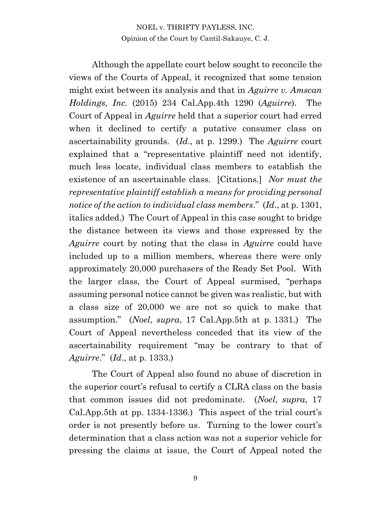Although the appellate court below sought to reconcile the views of the Courts of Appeal, it recognized that some tension might exist between its analysis and that in *Aguirre v. Amscan Holdings, Inc.* (2015) 234 Cal.App.4th 1290 (*Aguirre*). The Court of Appeal in *Aguirre* held that a superior court had erred when it declined to certify a putative consumer class on ascertainability grounds. (*Id*., at p. 1299.) The *Aguirre* court explained that a "representative plaintiff need not identify, much less locate, individual class members to establish the existence of an ascertainable class. [Citations.] *Nor must the representative plaintiff establish a means for providing personal notice of the action to individual class members*." (*Id*., at p. 1301, italics added.) The Court of Appeal in this case sought to bridge the distance between its views and those expressed by the *Aguirre* court by noting that the class in *Aguirre* could have included up to a million members, whereas there were only approximately 20,000 purchasers of the Ready Set Pool. With the larger class, the Court of Appeal surmised, "perhaps assuming personal notice cannot be given was realistic, but with a class size of 20,000 we are not so quick to make that assumption." (*Noel*, *supra*, 17 Cal.App.5th at p. 1331.) The Court of Appeal nevertheless conceded that its view of the ascertainability requirement "may be contrary to that of *Aguirre*." (*Id*., at p. 1333.)

The Court of Appeal also found no abuse of discretion in the superior court's refusal to certify a CLRA class on the basis that common issues did not predominate. (*Noel*, *supra*, 17 Cal.App.5th at pp. 1334-1336.) This aspect of the trial court's order is not presently before us. Turning to the lower court's determination that a class action was not a superior vehicle for pressing the claims at issue, the Court of Appeal noted the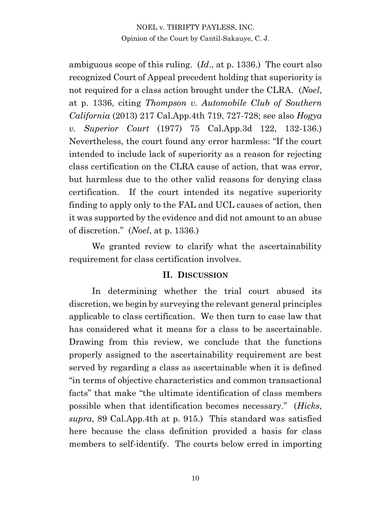ambiguous scope of this ruling. (*Id*., at p. 1336.) The court also recognized Court of Appeal precedent holding that superiority is not required for a class action brought under the CLRA. (*Noel*, at p. 1336, citing *Thompson v. Automobile Club of Southern California* (2013) 217 Cal.App.4th 719, 727-728; see also *Hogya v. Superior Court* (1977) 75 Cal.App.3d 122, 132-136.) Nevertheless, the court found any error harmless: "If the court intended to include lack of superiority as a reason for rejecting class certification on the CLRA cause of action, that was error, but harmless due to the other valid reasons for denying class certification. If the court intended its negative superiority finding to apply only to the FAL and UCL causes of action, then it was supported by the evidence and did not amount to an abuse of discretion." (*Noel*, at p. 1336.)

We granted review to clarify what the ascertainability requirement for class certification involves.

#### **II. DISCUSSION**

In determining whether the trial court abused its discretion, we begin by surveying the relevant general principles applicable to class certification. We then turn to case law that has considered what it means for a class to be ascertainable. Drawing from this review, we conclude that the functions properly assigned to the ascertainability requirement are best served by regarding a class as ascertainable when it is defined "in terms of objective characteristics and common transactional facts" that make "the ultimate identification of class members possible when that identification becomes necessary." (*Hicks*, *supra*, 89 Cal.App.4th at p. 915.) This standard was satisfied here because the class definition provided a basis for class members to self-identify. The courts below erred in importing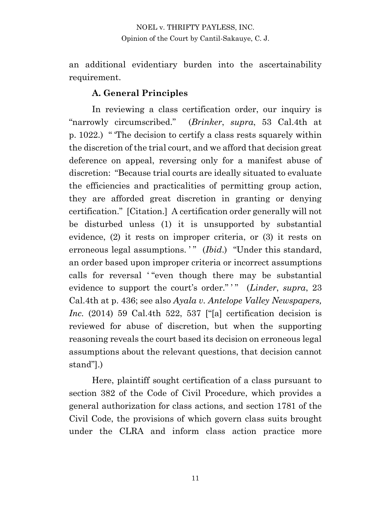an additional evidentiary burden into the ascertainability requirement.

#### **A. General Principles**

In reviewing a class certification order, our inquiry is "narrowly circumscribed." (*Brinker*, *supra*, 53 Cal.4th at p. 1022.) " 'The decision to certify a class rests squarely within the discretion of the trial court, and we afford that decision great deference on appeal, reversing only for a manifest abuse of discretion: "Because trial courts are ideally situated to evaluate the efficiencies and practicalities of permitting group action, they are afforded great discretion in granting or denying certification." [Citation.] A certification order generally will not be disturbed unless (1) it is unsupported by substantial evidence, (2) it rests on improper criteria, or (3) it rests on erroneous legal assumptions.'" (*Ibid.*) "Under this standard, an order based upon improper criteria or incorrect assumptions calls for reversal ' "even though there may be substantial evidence to support the court's order."<sup>"</sup> (*Linder*, *supra*, 23 Cal.4th at p. 436; see also *Ayala v. Antelope Valley Newspapers, Inc.* (2014) 59 Cal.4th 522, 537 ["[a] certification decision is reviewed for abuse of discretion, but when the supporting reasoning reveals the court based its decision on erroneous legal assumptions about the relevant questions, that decision cannot stand"].)

Here, plaintiff sought certification of a class pursuant to section 382 of the Code of Civil Procedure, which provides a general authorization for class actions, and section 1781 of the Civil Code, the provisions of which govern class suits brought under the CLRA and inform class action practice more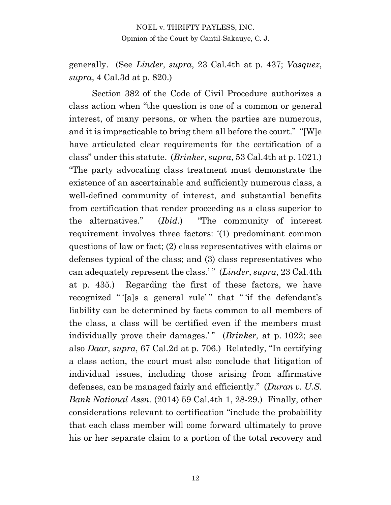generally. (See *Linder*, *supra*, 23 Cal.4th at p. 437; *Vasquez*, *supra*, 4 Cal.3d at p. 820.)

Section 382 of the Code of Civil Procedure authorizes a class action when "the question is one of a common or general interest, of many persons, or when the parties are numerous, and it is impracticable to bring them all before the court." "[W]e have articulated clear requirements for the certification of a class" under this statute. (*Brinker*, *supra*, 53 Cal.4th at p. 1021.) "The party advocating class treatment must demonstrate the existence of an ascertainable and sufficiently numerous class, a well-defined community of interest, and substantial benefits from certification that render proceeding as a class superior to the alternatives." (*Ibid*.) "The community of interest requirement involves three factors: '(1) predominant common questions of law or fact; (2) class representatives with claims or defenses typical of the class; and (3) class representatives who can adequately represent the class.' " (*Linder*, *supra*, 23 Cal.4th at p. 435.) Regarding the first of these factors, we have recognized " '[a]s a general rule' " that " 'if the defendant's liability can be determined by facts common to all members of the class, a class will be certified even if the members must individually prove their damages.'" (*Brinker*, at p. 1022; see also *Daar*, *supra*, 67 Cal.2d at p. 706.) Relatedly, "In certifying a class action, the court must also conclude that litigation of individual issues, including those arising from affirmative defenses, can be managed fairly and efficiently." (*Duran v. U.S. Bank National Assn.* (2014) 59 Cal.4th 1, 28-29.) Finally, other considerations relevant to certification "include the probability that each class member will come forward ultimately to prove his or her separate claim to a portion of the total recovery and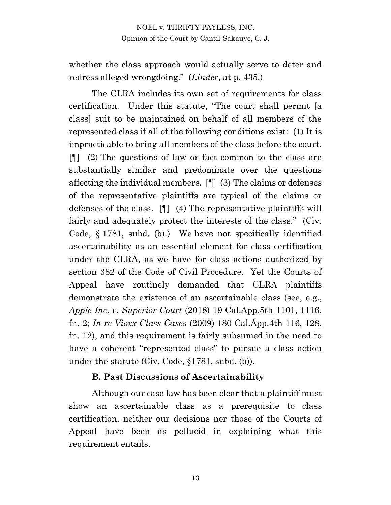whether the class approach would actually serve to deter and redress alleged wrongdoing." (*Linder*, at p. 435.)

The CLRA includes its own set of requirements for class certification. Under this statute, "The court shall permit [a class] suit to be maintained on behalf of all members of the represented class if all of the following conditions exist: (1) It is impracticable to bring all members of the class before the court. [¶] (2) The questions of law or fact common to the class are substantially similar and predominate over the questions affecting the individual members. [¶] (3) The claims or defenses of the representative plaintiffs are typical of the claims or defenses of the class. [¶] (4) The representative plaintiffs will fairly and adequately protect the interests of the class." (Civ. Code, § 1781, subd. (b).) We have not specifically identified ascertainability as an essential element for class certification under the CLRA, as we have for class actions authorized by section 382 of the Code of Civil Procedure. Yet the Courts of Appeal have routinely demanded that CLRA plaintiffs demonstrate the existence of an ascertainable class (see, e.g., *Apple Inc. v. Superior Court* (2018) 19 Cal.App.5th 1101, 1116, fn. 2; *In re Vioxx Class Cases* (2009) 180 Cal.App.4th 116, 128, fn. 12), and this requirement is fairly subsumed in the need to have a coherent "represented class" to pursue a class action under the statute (Civ. Code, §1781, subd. (b)).

#### **B. Past Discussions of Ascertainability**

Although our case law has been clear that a plaintiff must show an ascertainable class as a prerequisite to class certification, neither our decisions nor those of the Courts of Appeal have been as pellucid in explaining what this requirement entails.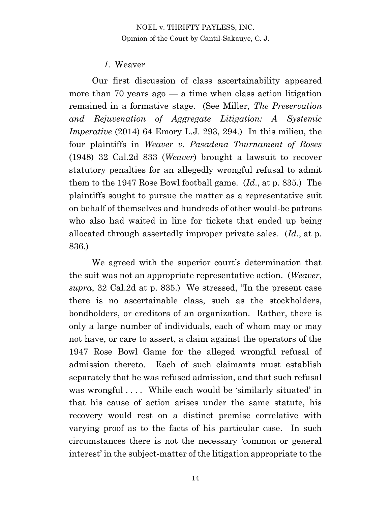#### *1.* Weaver

Our first discussion of class ascertainability appeared more than 70 years  $a\alpha - a$  time when class action litigation remained in a formative stage. (See Miller, *The Preservation and Rejuvenation of Aggregate Litigation: A Systemic Imperative* (2014) 64 Emory L.J. 293, 294.) In this milieu, the four plaintiffs in *Weaver v. Pasadena Tournament of Roses*  (1948) 32 Cal.2d 833 (*Weaver*) brought a lawsuit to recover statutory penalties for an allegedly wrongful refusal to admit them to the 1947 Rose Bowl football game. (*Id*., at p. 835.) The plaintiffs sought to pursue the matter as a representative suit on behalf of themselves and hundreds of other would-be patrons who also had waited in line for tickets that ended up being allocated through assertedly improper private sales. (*Id*., at p. 836.)

We agreed with the superior court's determination that the suit was not an appropriate representative action. (*Weaver*, *supra*, 32 Cal.2d at p. 835.) We stressed, "In the present case there is no ascertainable class, such as the stockholders, bondholders, or creditors of an organization. Rather, there is only a large number of individuals, each of whom may or may not have, or care to assert, a claim against the operators of the 1947 Rose Bowl Game for the alleged wrongful refusal of admission thereto. Each of such claimants must establish separately that he was refused admission, and that such refusal was wrongful .... While each would be 'similarly situated' in that his cause of action arises under the same statute, his recovery would rest on a distinct premise correlative with varying proof as to the facts of his particular case. In such circumstances there is not the necessary 'common or general interest' in the subject-matter of the litigation appropriate to the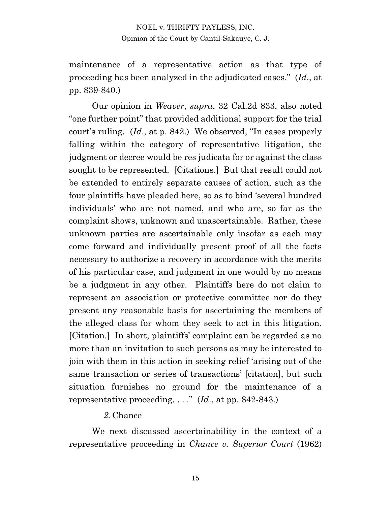maintenance of a representative action as that type of proceeding has been analyzed in the adjudicated cases." (*Id*., at pp. 839-840.)

Our opinion in *Weaver*, *supra*, 32 Cal.2d 833, also noted "one further point" that provided additional support for the trial court's ruling. (*Id*., at p. 842.) We observed, "In cases properly falling within the category of representative litigation, the judgment or decree would be res judicata for or against the class sought to be represented. [Citations.] But that result could not be extended to entirely separate causes of action, such as the four plaintiffs have pleaded here, so as to bind 'several hundred individuals' who are not named, and who are, so far as the complaint shows, unknown and unascertainable. Rather, these unknown parties are ascertainable only insofar as each may come forward and individually present proof of all the facts necessary to authorize a recovery in accordance with the merits of his particular case, and judgment in one would by no means be a judgment in any other. Plaintiffs here do not claim to represent an association or protective committee nor do they present any reasonable basis for ascertaining the members of the alleged class for whom they seek to act in this litigation. [Citation.] In short, plaintiffs' complaint can be regarded as no more than an invitation to such persons as may be interested to join with them in this action in seeking relief 'arising out of the same transaction or series of transactions' [citation], but such situation furnishes no ground for the maintenance of a representative proceeding. . . ." (*Id*., at pp. 842-843.)

#### *2.* Chance

We next discussed ascertainability in the context of a representative proceeding in *Chance v. Superior Court* (1962)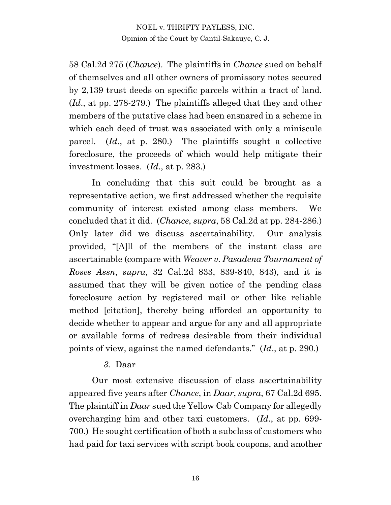58 Cal.2d 275 (*Chance*). The plaintiffs in *Chance* sued on behalf of themselves and all other owners of promissory notes secured by 2,139 trust deeds on specific parcels within a tract of land. (*Id*., at pp. 278-279.) The plaintiffs alleged that they and other members of the putative class had been ensnared in a scheme in which each deed of trust was associated with only a miniscule parcel. (*Id*., at p. 280.) The plaintiffs sought a collective foreclosure, the proceeds of which would help mitigate their investment losses. (*Id*., at p. 283.)

In concluding that this suit could be brought as a representative action, we first addressed whether the requisite community of interest existed among class members. We concluded that it did. (*Chance*, *supra*, 58 Cal.2d at pp. 284-286.) Only later did we discuss ascertainability. Our analysis provided, "[A]ll of the members of the instant class are ascertainable (compare with *Weaver v. Pasadena Tournament of Roses Assn*, *supra*, 32 Cal.2d 833, 839-840, 843), and it is assumed that they will be given notice of the pending class foreclosure action by registered mail or other like reliable method [citation], thereby being afforded an opportunity to decide whether to appear and argue for any and all appropriate or available forms of redress desirable from their individual points of view, against the named defendants." (*Id*., at p. 290.)

#### *3.* Daar

Our most extensive discussion of class ascertainability appeared five years after *Chance*, in *Daar*, *supra*, 67 Cal.2d 695. The plaintiff in *Daar* sued the Yellow Cab Company for allegedly overcharging him and other taxi customers. (*Id*., at pp. 699- 700.) He sought certification of both a subclass of customers who had paid for taxi services with script book coupons, and another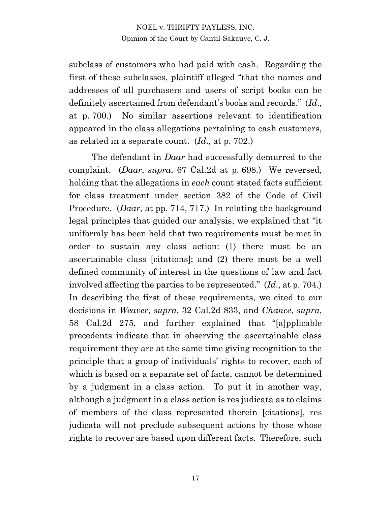subclass of customers who had paid with cash. Regarding the first of these subclasses, plaintiff alleged "that the names and addresses of all purchasers and users of script books can be definitely ascertained from defendant's books and records." (*Id*., at p. 700.) No similar assertions relevant to identification appeared in the class allegations pertaining to cash customers, as related in a separate count. (*Id*., at p. 702.)

The defendant in *Daar* had successfully demurred to the complaint. (*Daar*, *supra*, 67 Cal.2d at p. 698.) We reversed, holding that the allegations in *each* count stated facts sufficient for class treatment under section 382 of the Code of Civil Procedure. (*Daar*, at pp. 714, 717.) In relating the background legal principles that guided our analysis, we explained that "it uniformly has been held that two requirements must be met in order to sustain any class action: (1) there must be an ascertainable class [citations]; and (2) there must be a well defined community of interest in the questions of law and fact involved affecting the parties to be represented." (*Id*., at p. 704.) In describing the first of these requirements, we cited to our decisions in *Weaver*, *supra*, 32 Cal.2d 833, and *Chance*, *supra*, 58 Cal.2d 275, and further explained that "[a]pplicable precedents indicate that in observing the ascertainable class requirement they are at the same time giving recognition to the principle that a group of individuals' rights to recover, each of which is based on a separate set of facts, cannot be determined by a judgment in a class action. To put it in another way, although a judgment in a class action is res judicata as to claims of members of the class represented therein [citations], res judicata will not preclude subsequent actions by those whose rights to recover are based upon different facts. Therefore, such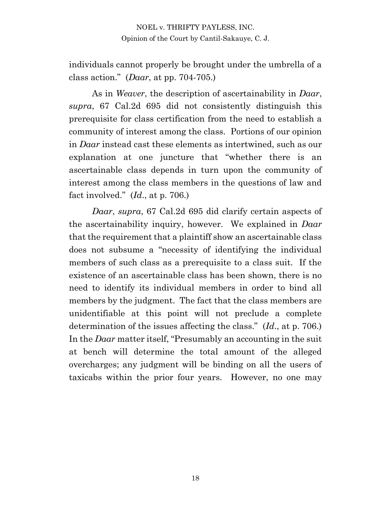individuals cannot properly be brought under the umbrella of a class action." (*Daar*, at pp. 704-705.)

As in *Weaver*, the description of ascertainability in *Daar*, *supra*, 67 Cal.2d 695 did not consistently distinguish this prerequisite for class certification from the need to establish a community of interest among the class. Portions of our opinion in *Daar* instead cast these elements as intertwined, such as our explanation at one juncture that "whether there is an ascertainable class depends in turn upon the community of interest among the class members in the questions of law and fact involved." (*Id*., at p. 706.)

*Daar*, *supra*, 67 Cal.2d 695 did clarify certain aspects of the ascertainability inquiry, however. We explained in *Daar* that the requirement that a plaintiff show an ascertainable class does not subsume a "necessity of identifying the individual members of such class as a prerequisite to a class suit. If the existence of an ascertainable class has been shown, there is no need to identify its individual members in order to bind all members by the judgment. The fact that the class members are unidentifiable at this point will not preclude a complete determination of the issues affecting the class." (*Id*., at p. 706.) In the *Daar* matter itself, "Presumably an accounting in the suit at bench will determine the total amount of the alleged overcharges; any judgment will be binding on all the users of taxicabs within the prior four years. However, no one may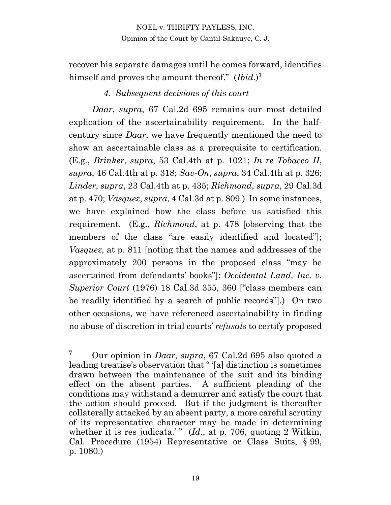recover his separate damages until he comes forward, identifies himself and proves the amount thereof." (*Ibid*.)**<sup>7</sup>**

#### *4. Subsequent decisions of this court*

*Daar*, *supra*, 67 Cal.2d 695 remains our most detailed explication of the ascertainability requirement. In the halfcentury since *Daar*, we have frequently mentioned the need to show an ascertainable class as a prerequisite to certification. (E.g., *Brinker*, *supra*, 53 Cal.4th at p. 1021; *In re Tobacco II*, *supra*, 46 Cal.4th at p. 318; *Sav-On*, *supra*, 34 Cal.4th at p. 326; *Linder*, *supra*, 23 Cal.4th at p. 435; *Richmond*, *supra*, 29 Cal.3d at p. 470; *Vasquez*, *supra*, 4 Cal.3d at p. 809.) In some instances, we have explained how the class before us satisfied this requirement. (E.g., *Richmond*, at p. 478 [observing that the members of the class "are easily identified and located"]; *Vasquez*, at p. 811 [noting that the names and addresses of the approximately 200 persons in the proposed class "may be ascertained from defendants' books"]; *Occidental Land, Inc. v. Superior Court* (1976) 18 Cal.3d 355, 360 ["class members can be readily identified by a search of public records"].) On two other occasions, we have referenced ascertainability in finding no abuse of discretion in trial courts' *refusals* to certify proposed

**<sup>7</sup>** Our opinion in *Daar*, *supra*, 67 Cal.2d 695 also quoted a leading treatise's observation that " '[a] distinction is sometimes drawn between the maintenance of the suit and its binding effect on the absent parties. A sufficient pleading of the conditions may withstand a demurrer and satisfy the court that the action should proceed. But if the judgment is thereafter collaterally attacked by an absent party, a more careful scrutiny of its representative character may be made in determining whether it is res judicata.'" (*Id.*, at p. 706, quoting 2 Witkin, Cal. Procedure (1954) Representative or Class Suits, § 99, p. 1080.)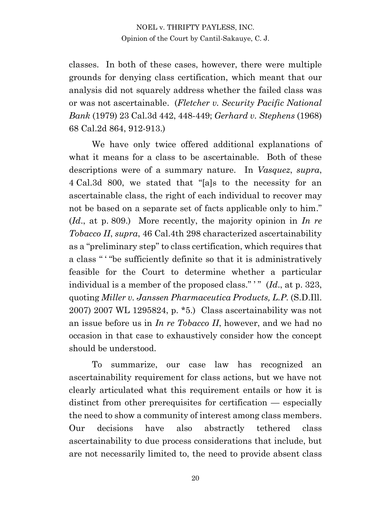classes. In both of these cases, however, there were multiple grounds for denying class certification, which meant that our analysis did not squarely address whether the failed class was or was not ascertainable. (*Fletcher v. Security Pacific National Bank* (1979) 23 Cal.3d 442, 448-449; *Gerhard v. Stephens* (1968) 68 Cal.2d 864, 912-913.)

We have only twice offered additional explanations of what it means for a class to be ascertainable. Both of these descriptions were of a summary nature. In *Vasquez*, *supra*, 4 Cal.3d 800, we stated that "[a]s to the necessity for an ascertainable class, the right of each individual to recover may not be based on a separate set of facts applicable only to him." (*Id*., at p. 809.) More recently, the majority opinion in *In re Tobacco II*, *supra*, 46 Cal.4th 298 characterized ascertainability as a "preliminary step" to class certification, which requires that a class " ' "be sufficiently definite so that it is administratively feasible for the Court to determine whether a particular individual is a member of the proposed class."" (*Id.*, at p. 323, quoting *Miller v. Janssen Pharmaceutica Products, L.P.* (S.D.Ill. 2007) 2007 WL 1295824, p. \*5.) Class ascertainability was not an issue before us in *In re Tobacco II*, however, and we had no occasion in that case to exhaustively consider how the concept should be understood.

To summarize, our case law has recognized an ascertainability requirement for class actions, but we have not clearly articulated what this requirement entails or how it is distinct from other prerequisites for certification — especially the need to show a community of interest among class members. Our decisions have also abstractly tethered class ascertainability to due process considerations that include, but are not necessarily limited to, the need to provide absent class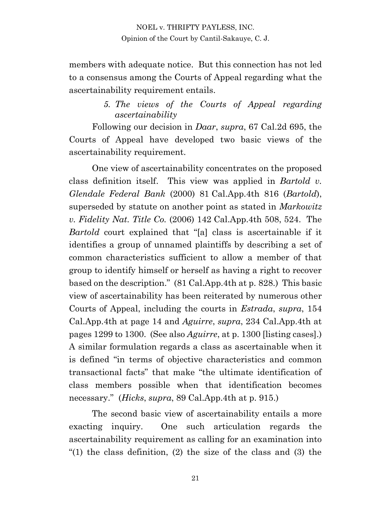members with adequate notice. But this connection has not led to a consensus among the Courts of Appeal regarding what the ascertainability requirement entails.

#### *5. The views of the Courts of Appeal regarding ascertainability*

Following our decision in *Daar*, *supra*, 67 Cal.2d 695, the Courts of Appeal have developed two basic views of the ascertainability requirement.

One view of ascertainability concentrates on the proposed class definition itself. This view was applied in *Bartold v. Glendale Federal Bank* (2000) 81 Cal.App.4th 816 (*Bartold*), superseded by statute on another point as stated in *Markowitz v. Fidelity Nat. Title Co.* (2006) 142 Cal.App.4th 508, 524. The *Bartold* court explained that "[a] class is ascertainable if it identifies a group of unnamed plaintiffs by describing a set of common characteristics sufficient to allow a member of that group to identify himself or herself as having a right to recover based on the description." (81 Cal.App.4th at p. 828.) This basic view of ascertainability has been reiterated by numerous other Courts of Appeal, including the courts in *Estrada*, *supra*, 154 Cal.App.4th at page 14 and *Aguirre*, *supra*, 234 Cal.App.4th at pages 1299 to 1300. (See also *Aguirre*, at p. 1300 [listing cases].) A similar formulation regards a class as ascertainable when it is defined "in terms of objective characteristics and common transactional facts" that make "the ultimate identification of class members possible when that identification becomes necessary." (*Hicks*, *supra*, 89 Cal.App.4th at p. 915.)

The second basic view of ascertainability entails a more exacting inquiry. One such articulation regards the ascertainability requirement as calling for an examination into "(1) the class definition, (2) the size of the class and (3) the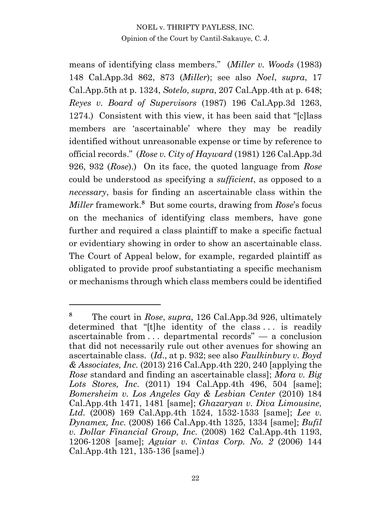means of identifying class members." (*Miller v. Woods* (1983) 148 Cal.App.3d 862, 873 (*Miller*); see also *Noel*, *supra*, 17 Cal.App.5th at p. 1324, *Sotelo*, *supra*, 207 Cal.App.4th at p. 648; *Reyes v. Board of Supervisors* (1987) 196 Cal.App.3d 1263, 1274.) Consistent with this view, it has been said that "[c]lass members are 'ascertainable' where they may be readily identified without unreasonable expense or time by reference to official records." (*Rose v. City of Hayward* (1981) 126 Cal.App.3d 926, 932 (*Rose*).) On its face, the quoted language from *Rose* could be understood as specifying a *sufficient*, as opposed to a *necessary*, basis for finding an ascertainable class within the *Miller* framework.**<sup>8</sup>** But some courts, drawing from *Rose*'s focus on the mechanics of identifying class members, have gone further and required a class plaintiff to make a specific factual or evidentiary showing in order to show an ascertainable class. The Court of Appeal below, for example, regarded plaintiff as obligated to provide proof substantiating a specific mechanism or mechanisms through which class members could be identified

**<sup>8</sup>** The court in *Rose*, *supra*, 126 Cal.App.3d 926, ultimately determined that "[t]he identity of the class ... is readily ascertainable from . . . departmental records" — a conclusion that did not necessarily rule out other avenues for showing an ascertainable class. (*Id*., at p. 932; see also *Faulkinbury v. Boyd & Associates, Inc.* (2013) 216 Cal.App.4th 220, 240 [applying the *Rose* standard and finding an ascertainable class]; *Mora v. Big Lots Stores, Inc.* (2011) 194 Cal.App.4th 496, 504 [same]; *Bomersheim v. Los Angeles Gay & Lesbian Center* (2010) 184 Cal.App.4th 1471, 1481 [same]; *Ghazaryan v. Diva Limousine, Ltd.* (2008) 169 Cal.App.4th 1524, 1532-1533 [same]; *Lee v. Dynamex, Inc.* (2008) 166 Cal.App.4th 1325, 1334 [same]; *Bufil v. Dollar Financial Group, Inc.* (2008) 162 Cal.App.4th 1193, 1206-1208 [same]; *Aguiar v. Cintas Corp. No. 2* (2006) 144 Cal.App.4th 121, 135-136 [same].)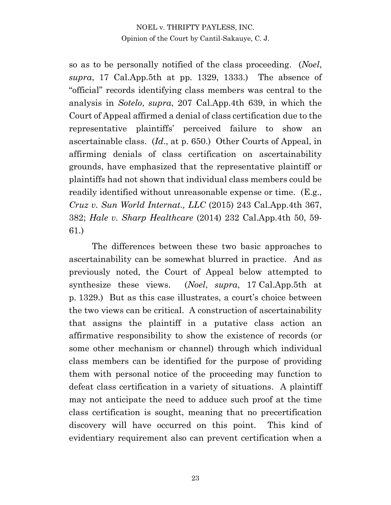so as to be personally notified of the class proceeding. (*Noel*, *supra*, 17 Cal.App.5th at pp. 1329, 1333.) The absence of "official" records identifying class members was central to the analysis in *Sotelo*, *supra*, 207 Cal.App.4th 639, in which the Court of Appeal affirmed a denial of class certification due to the representative plaintiffs' perceived failure to show an ascertainable class. (*Id*., at p. 650.) Other Courts of Appeal, in affirming denials of class certification on ascertainability grounds, have emphasized that the representative plaintiff or plaintiffs had not shown that individual class members could be readily identified without unreasonable expense or time. (E.g., *Cruz v. Sun World Internat., LLC* (2015) 243 Cal.App.4th 367, 382; *Hale v. Sharp Healthcare* (2014) 232 Cal.App.4th 50, 59- 61.)

The differences between these two basic approaches to ascertainability can be somewhat blurred in practice. And as previously noted, the Court of Appeal below attempted to synthesize these views. (*Noel*, *supra*, 17 Cal.App.5th at p. 1329.) But as this case illustrates, a court's choice between the two views can be critical. A construction of ascertainability that assigns the plaintiff in a putative class action an affirmative responsibility to show the existence of records (or some other mechanism or channel) through which individual class members can be identified for the purpose of providing them with personal notice of the proceeding may function to defeat class certification in a variety of situations. A plaintiff may not anticipate the need to adduce such proof at the time class certification is sought, meaning that no precertification discovery will have occurred on this point. This kind of evidentiary requirement also can prevent certification when a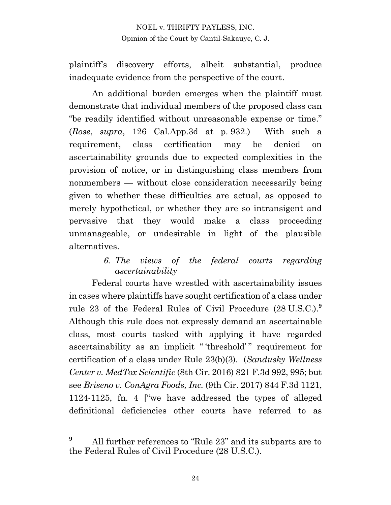plaintiff's discovery efforts, albeit substantial, produce inadequate evidence from the perspective of the court.

An additional burden emerges when the plaintiff must demonstrate that individual members of the proposed class can "be readily identified without unreasonable expense or time." (*Rose*, *supra*, 126 Cal.App.3d at p. 932.) With such a requirement, class certification may be denied on ascertainability grounds due to expected complexities in the provision of notice, or in distinguishing class members from nonmembers — without close consideration necessarily being given to whether these difficulties are actual, as opposed to merely hypothetical, or whether they are so intransigent and pervasive that they would make a class proceeding unmanageable, or undesirable in light of the plausible alternatives.

## *6. The views of the federal courts regarding ascertainability*

Federal courts have wrestled with ascertainability issues in cases where plaintiffs have sought certification of a class under rule 23 of the Federal Rules of Civil Procedure (28 U.S.C.). **9** Although this rule does not expressly demand an ascertainable class, most courts tasked with applying it have regarded ascertainability as an implicit "threshold" requirement for certification of a class under Rule 23(b)(3). (*Sandusky Wellness Center v. MedTox Scientific* (8th Cir. 2016) 821 F.3d 992, 995; but see *Briseno v. ConAgra Foods, Inc.* (9th Cir. 2017) 844 F.3d 1121, 1124-1125, fn. 4 ["we have addressed the types of alleged definitional deficiencies other courts have referred to as

**<sup>9</sup>** All further references to "Rule 23" and its subparts are to the Federal Rules of Civil Procedure (28 U.S.C.).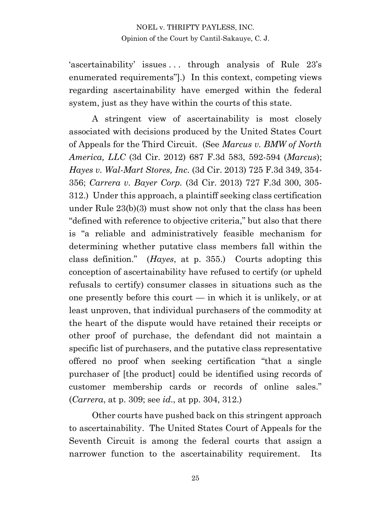'ascertainability' issues . . . through analysis of Rule 23's enumerated requirements"].) In this context, competing views regarding ascertainability have emerged within the federal system, just as they have within the courts of this state.

A stringent view of ascertainability is most closely associated with decisions produced by the United States Court of Appeals for the Third Circuit. (See *Marcus v. BMW of North America, LLC* (3d Cir. 2012) 687 F.3d 583, 592-594 (*Marcus*); *Hayes v. Wal-Mart Stores, Inc.* (3d Cir. 2013) 725 F.3d 349, 354- 356; *Carrera v. Bayer Corp.* (3d Cir. 2013) 727 F.3d 300, 305- 312.) Under this approach, a plaintiff seeking class certification under Rule 23(b)(3) must show not only that the class has been "defined with reference to objective criteria," but also that there is "a reliable and administratively feasible mechanism for determining whether putative class members fall within the class definition." (*Hayes*, at p. 355.) Courts adopting this conception of ascertainability have refused to certify (or upheld refusals to certify) consumer classes in situations such as the one presently before this court  $-$  in which it is unlikely, or at least unproven, that individual purchasers of the commodity at the heart of the dispute would have retained their receipts or other proof of purchase, the defendant did not maintain a specific list of purchasers, and the putative class representative offered no proof when seeking certification "that a single purchaser of [the product] could be identified using records of customer membership cards or records of online sales." (*Carrera*, at p. 309; see *id*., at pp. 304, 312.)

Other courts have pushed back on this stringent approach to ascertainability. The United States Court of Appeals for the Seventh Circuit is among the federal courts that assign a narrower function to the ascertainability requirement. Its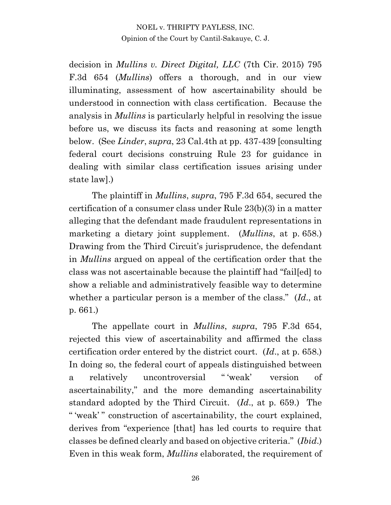decision in *Mullins v. Direct Digital, LLC* (7th Cir. 2015) 795 F.3d 654 (*Mullins*) offers a thorough, and in our view illuminating, assessment of how ascertainability should be understood in connection with class certification. Because the analysis in *Mullins* is particularly helpful in resolving the issue before us, we discuss its facts and reasoning at some length below. (See *Linder*, *supra*, 23 Cal.4th at pp. 437-439 [consulting federal court decisions construing Rule 23 for guidance in dealing with similar class certification issues arising under state law].)

The plaintiff in *Mullins*, *supra*, 795 F.3d 654, secured the certification of a consumer class under Rule 23(b)(3) in a matter alleging that the defendant made fraudulent representations in marketing a dietary joint supplement. (*Mullins*, at p. 658.) Drawing from the Third Circuit's jurisprudence, the defendant in *Mullins* argued on appeal of the certification order that the class was not ascertainable because the plaintiff had "fail[ed] to show a reliable and administratively feasible way to determine whether a particular person is a member of the class." (*Id*., at p. 661.)

The appellate court in *Mullins*, *supra*, 795 F.3d 654, rejected this view of ascertainability and affirmed the class certification order entered by the district court. (*Id*., at p. 658.) In doing so, the federal court of appeals distinguished between a relatively uncontroversial " 'weak' version of ascertainability," and the more demanding ascertainability standard adopted by the Third Circuit. (*Id*., at p. 659.) The " 'weak' " construction of ascertainability, the court explained, derives from "experience [that] has led courts to require that classes be defined clearly and based on objective criteria." (*Ibid*.) Even in this weak form, *Mullins* elaborated, the requirement of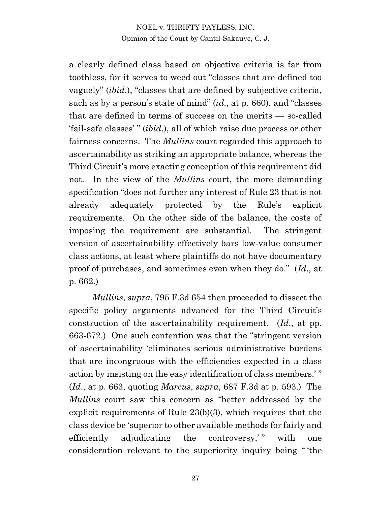a clearly defined class based on objective criteria is far from toothless, for it serves to weed out "classes that are defined too vaguely" (*ibid*.), "classes that are defined by subjective criteria, such as by a person's state of mind" (*id*., at p. 660), and "classes that are defined in terms of success on the merits — so-called 'fail-safe classes' " (*ibid*.), all of which raise due process or other fairness concerns. The *Mullins* court regarded this approach to ascertainability as striking an appropriate balance, whereas the Third Circuit's more exacting conception of this requirement did not. In the view of the *Mullins* court, the more demanding specification "does not further any interest of Rule 23 that is not already adequately protected by the Rule's explicit requirements. On the other side of the balance, the costs of imposing the requirement are substantial. The stringent version of ascertainability effectively bars low-value consumer class actions, at least where plaintiffs do not have documentary proof of purchases, and sometimes even when they do." (*Id*., at p. 662.)

*Mullins*, *supra*, 795 F.3d 654 then proceeded to dissect the specific policy arguments advanced for the Third Circuit's construction of the ascertainability requirement. (*Id*., at pp. 663-672.) One such contention was that the "stringent version of ascertainability 'eliminates serious administrative burdens that are incongruous with the efficiencies expected in a class action by insisting on the easy identification of class members.' " (*Id*., at p. 663, quoting *Marcus*, *supra*, 687 F.3d at p. 593.) The *Mullins* court saw this concern as "better addressed by the explicit requirements of Rule 23(b)(3), which requires that the class device be 'superior to other available methods for fairly and efficiently adjudicating the controversy," with one consideration relevant to the superiority inquiry being " 'the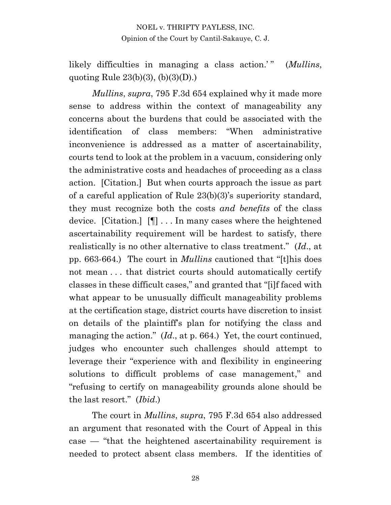likely difficulties in managing a class action.<sup>'</sup>" (*Mullins*, quoting Rule  $23(b)(3)$ ,  $(b)(3)(D)$ .

*Mullins*, *supra*, 795 F.3d 654 explained why it made more sense to address within the context of manageability any concerns about the burdens that could be associated with the identification of class members: "When administrative inconvenience is addressed as a matter of ascertainability, courts tend to look at the problem in a vacuum, considering only the administrative costs and headaches of proceeding as a class action. [Citation.] But when courts approach the issue as part of a careful application of Rule 23(b)(3)'s superiority standard, they must recognize both the costs *and benefits* of the class device. [Citation.] [¶] . . . In many cases where the heightened ascertainability requirement will be hardest to satisfy, there realistically is no other alternative to class treatment." (*Id*., at pp. 663-664.) The court in *Mullins* cautioned that "[t]his does not mean . . . that district courts should automatically certify classes in these difficult cases," and granted that "[i]f faced with what appear to be unusually difficult manageability problems at the certification stage, district courts have discretion to insist on details of the plaintiff's plan for notifying the class and managing the action." (*Id*., at p. 664.) Yet, the court continued, judges who encounter such challenges should attempt to leverage their "experience with and flexibility in engineering solutions to difficult problems of case management," and "refusing to certify on manageability grounds alone should be the last resort." (*Ibid*.)

The court in *Mullins*, *supra*, 795 F.3d 654 also addressed an argument that resonated with the Court of Appeal in this case — "that the heightened ascertainability requirement is needed to protect absent class members. If the identities of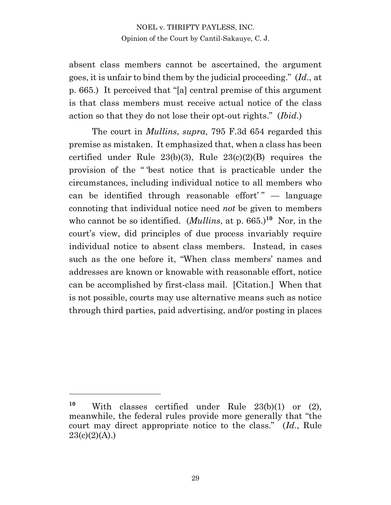absent class members cannot be ascertained, the argument goes, it is unfair to bind them by the judicial proceeding." (*Id*., at p. 665.) It perceived that "[a] central premise of this argument is that class members must receive actual notice of the class action so that they do not lose their opt-out rights." (*Ibid*.)

The court in *Mullins*, *supra*, 795 F.3d 654 regarded this premise as mistaken. It emphasized that, when a class has been certified under Rule  $23(b)(3)$ , Rule  $23(c)(2)(B)$  requires the provision of the " 'best notice that is practicable under the circumstances, including individual notice to all members who can be identified through reasonable effort' " — language connoting that individual notice need *not* be given to members who cannot be so identified. (*Mullins*, at p. 665.)<sup>10</sup> Nor, in the court's view, did principles of due process invariably require individual notice to absent class members. Instead, in cases such as the one before it, "When class members' names and addresses are known or knowable with reasonable effort, notice can be accomplished by first-class mail. [Citation.] When that is not possible, courts may use alternative means such as notice through third parties, paid advertising, and/or posting in places

**<sup>10</sup>** With classes certified under Rule 23(b)(1) or (2), meanwhile, the federal rules provide more generally that "the court may direct appropriate notice to the class." (*Id*., Rule  $23(c)(2)(A)$ .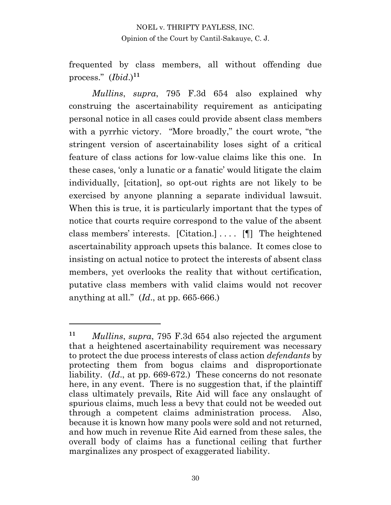frequented by class members, all without offending due process." (*Ibid*.)**<sup>11</sup>**

*Mullins*, *supra*, 795 F.3d 654 also explained why construing the ascertainability requirement as anticipating personal notice in all cases could provide absent class members with a pyrrhic victory. "More broadly," the court wrote, "the stringent version of ascertainability loses sight of a critical feature of class actions for low-value claims like this one. In these cases, 'only a lunatic or a fanatic' would litigate the claim individually, [citation], so opt-out rights are not likely to be exercised by anyone planning a separate individual lawsuit. When this is true, it is particularly important that the types of notice that courts require correspond to the value of the absent class members' interests. [Citation.] . . . . [¶] The heightened ascertainability approach upsets this balance. It comes close to insisting on actual notice to protect the interests of absent class members, yet overlooks the reality that without certification, putative class members with valid claims would not recover anything at all." (*Id*., at pp. 665-666.)

**<sup>11</sup>** *Mullins*, *supra*, 795 F.3d 654 also rejected the argument that a heightened ascertainability requirement was necessary to protect the due process interests of class action *defendants* by protecting them from bogus claims and disproportionate liability. (*Id*., at pp. 669-672.) These concerns do not resonate here, in any event. There is no suggestion that, if the plaintiff class ultimately prevails, Rite Aid will face any onslaught of spurious claims, much less a bevy that could not be weeded out through a competent claims administration process. Also, because it is known how many pools were sold and not returned, and how much in revenue Rite Aid earned from these sales, the overall body of claims has a functional ceiling that further marginalizes any prospect of exaggerated liability.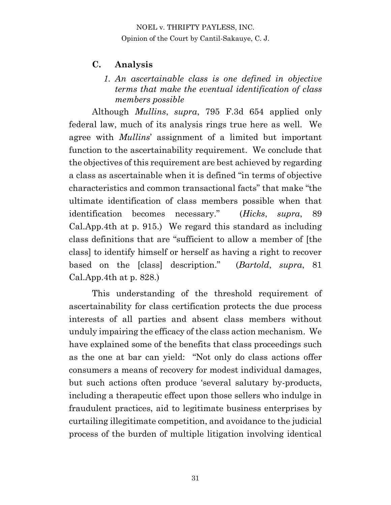## **C. Analysis**

#### *1. An ascertainable class is one defined in objective terms that make the eventual identification of class members possible*

Although *Mullins*, *supra*, 795 F.3d 654 applied only federal law, much of its analysis rings true here as well. We agree with *Mullins*' assignment of a limited but important function to the ascertainability requirement. We conclude that the objectives of this requirement are best achieved by regarding a class as ascertainable when it is defined "in terms of objective characteristics and common transactional facts" that make "the ultimate identification of class members possible when that identification becomes necessary." (*Hicks*, *supra*, 89 Cal.App.4th at p. 915.) We regard this standard as including class definitions that are "sufficient to allow a member of [the class] to identify himself or herself as having a right to recover based on the [class] description." (*Bartold*, *supra*, 81 Cal.App.4th at p. 828.)

This understanding of the threshold requirement of ascertainability for class certification protects the due process interests of all parties and absent class members without unduly impairing the efficacy of the class action mechanism. We have explained some of the benefits that class proceedings such as the one at bar can yield: "Not only do class actions offer consumers a means of recovery for modest individual damages, but such actions often produce 'several salutary by-products, including a therapeutic effect upon those sellers who indulge in fraudulent practices, aid to legitimate business enterprises by curtailing illegitimate competition, and avoidance to the judicial process of the burden of multiple litigation involving identical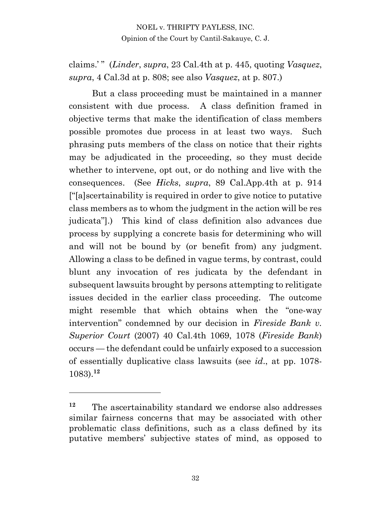claims.' " (*Linder*, *supra*, 23 Cal.4th at p. 445, quoting *Vasquez*, *supra*, 4 Cal.3d at p. 808; see also *Vasquez*, at p. 807.)

But a class proceeding must be maintained in a manner consistent with due process. A class definition framed in objective terms that make the identification of class members possible promotes due process in at least two ways. Such phrasing puts members of the class on notice that their rights may be adjudicated in the proceeding, so they must decide whether to intervene, opt out, or do nothing and live with the consequences. (See *Hicks*, *supra*, 89 Cal.App.4th at p. 914 ["[a]scertainability is required in order to give notice to putative class members as to whom the judgment in the action will be res judicata"].) This kind of class definition also advances due process by supplying a concrete basis for determining who will and will not be bound by (or benefit from) any judgment. Allowing a class to be defined in vague terms, by contrast, could blunt any invocation of res judicata by the defendant in subsequent lawsuits brought by persons attempting to relitigate issues decided in the earlier class proceeding. The outcome might resemble that which obtains when the "one-way intervention" condemned by our decision in *Fireside Bank v. Superior Court* (2007) 40 Cal.4th 1069, 1078 (*Fireside Bank*) occurs — the defendant could be unfairly exposed to a succession of essentially duplicative class lawsuits (see *id*., at pp. 1078- 1083).**<sup>12</sup>**

**<sup>12</sup>** The ascertainability standard we endorse also addresses similar fairness concerns that may be associated with other problematic class definitions, such as a class defined by its putative members' subjective states of mind, as opposed to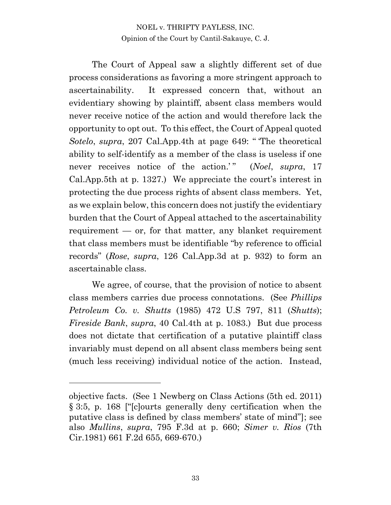The Court of Appeal saw a slightly different set of due process considerations as favoring a more stringent approach to ascertainability. It expressed concern that, without an evidentiary showing by plaintiff, absent class members would never receive notice of the action and would therefore lack the opportunity to opt out. To this effect, the Court of Appeal quoted *Sotelo*, *supra*, 207 Cal.App.4th at page 649: " 'The theoretical ability to self-identify as a member of the class is useless if one never receives notice of the action.'" (*Noel*, *supra*, 17 Cal.App.5th at p. 1327.) We appreciate the court's interest in protecting the due process rights of absent class members. Yet, as we explain below, this concern does not justify the evidentiary burden that the Court of Appeal attached to the ascertainability requirement  $-$  or, for that matter, any blanket requirement that class members must be identifiable "by reference to official records" (*Rose*, *supra*, 126 Cal.App.3d at p. 932) to form an ascertainable class.

We agree, of course, that the provision of notice to absent class members carries due process connotations. (See *Phillips Petroleum Co. v. Shutts* (1985) 472 U.S 797, 811 (*Shutts*); *Fireside Bank*, *supra*, 40 Cal.4th at p. 1083.) But due process does not dictate that certification of a putative plaintiff class invariably must depend on all absent class members being sent (much less receiving) individual notice of the action. Instead,

objective facts. (See 1 Newberg on Class Actions (5th ed. 2011) § 3:5, p. 168 ["[c]ourts generally deny certification when the putative class is defined by class members' state of mind"]; see also *Mullins*, *supra*, 795 F.3d at p. 660; *Simer v. Rios* (7th Cir.1981) 661 F.2d 655, 669-670.)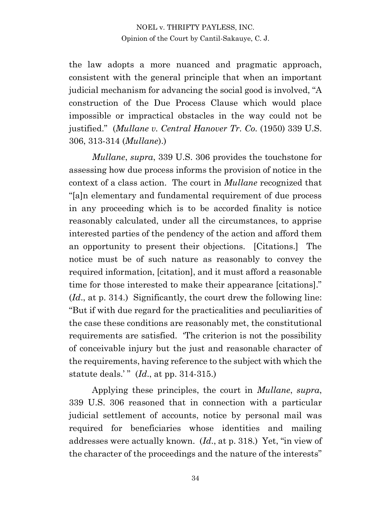the law adopts a more nuanced and pragmatic approach, consistent with the general principle that when an important judicial mechanism for advancing the social good is involved, "A construction of the Due Process Clause which would place impossible or impractical obstacles in the way could not be justified." (*Mullane v. Central Hanover Tr. Co.* (1950) 339 U.S. 306, 313-314 (*Mullane*).)

*Mullane*, *supra*, 339 U.S. 306 provides the touchstone for assessing how due process informs the provision of notice in the context of a class action. The court in *Mullane* recognized that "[a]n elementary and fundamental requirement of due process in any proceeding which is to be accorded finality is notice reasonably calculated, under all the circumstances, to apprise interested parties of the pendency of the action and afford them an opportunity to present their objections. [Citations.] The notice must be of such nature as reasonably to convey the required information, [citation], and it must afford a reasonable time for those interested to make their appearance [citations]." (*Id*., at p. 314.) Significantly, the court drew the following line: "But if with due regard for the practicalities and peculiarities of the case these conditions are reasonably met, the constitutional requirements are satisfied. 'The criterion is not the possibility of conceivable injury but the just and reasonable character of the requirements, having reference to the subject with which the statute deals.' " (*Id*., at pp. 314-315.)

Applying these principles, the court in *Mullane*, *supra*, 339 U.S. 306 reasoned that in connection with a particular judicial settlement of accounts, notice by personal mail was required for beneficiaries whose identities and mailing addresses were actually known. (*Id*., at p. 318.) Yet, "in view of the character of the proceedings and the nature of the interests"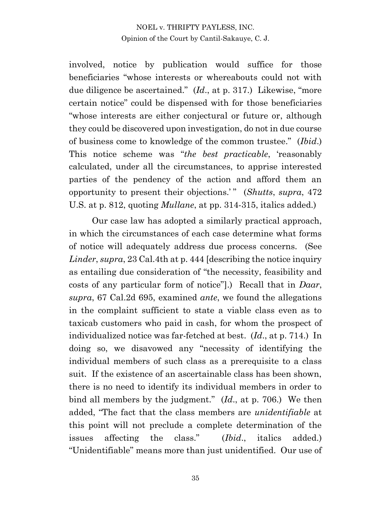involved, notice by publication would suffice for those beneficiaries "whose interests or whereabouts could not with due diligence be ascertained." (*Id*., at p. 317.) Likewise, "more certain notice" could be dispensed with for those beneficiaries "whose interests are either conjectural or future or, although they could be discovered upon investigation, do not in due course of business come to knowledge of the common trustee." (*Ibid*.) This notice scheme was "*the best practicable*, 'reasonably calculated, under all the circumstances, to apprise interested parties of the pendency of the action and afford them an opportunity to present their objections.' " (*Shutts*, *supra*, 472 U.S. at p. 812, quoting *Mullane*, at pp. 314-315, italics added.)

Our case law has adopted a similarly practical approach, in which the circumstances of each case determine what forms of notice will adequately address due process concerns. (See *Linder*, *supra*, 23 Cal.4th at p. 444 [describing the notice inquiry as entailing due consideration of "the necessity, feasibility and costs of any particular form of notice"].) Recall that in *Daar*, *supra*, 67 Cal.2d 695, examined *ante*, we found the allegations in the complaint sufficient to state a viable class even as to taxicab customers who paid in cash, for whom the prospect of individualized notice was far-fetched at best. (*Id*., at p. 714.) In doing so, we disavowed any "necessity of identifying the individual members of such class as a prerequisite to a class suit. If the existence of an ascertainable class has been shown, there is no need to identify its individual members in order to bind all members by the judgment." (*Id*., at p. 706.) We then added, "The fact that the class members are *unidentifiable* at this point will not preclude a complete determination of the issues affecting the class." (*Ibid*., italics added.) "Unidentifiable" means more than just unidentified. Our use of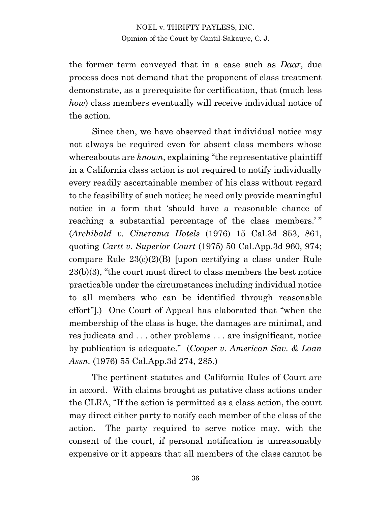the former term conveyed that in a case such as *Daar*, due process does not demand that the proponent of class treatment demonstrate, as a prerequisite for certification, that (much less *how*) class members eventually will receive individual notice of the action.

Since then, we have observed that individual notice may not always be required even for absent class members whose whereabouts are *known*, explaining "the representative plaintiff in a California class action is not required to notify individually every readily ascertainable member of his class without regard to the feasibility of such notice; he need only provide meaningful notice in a form that 'should have a reasonable chance of reaching a substantial percentage of the class members.'" (*Archibald v. Cinerama Hotels* (1976) 15 Cal.3d 853, 861, quoting *Cartt v. Superior Court* (1975) 50 Cal.App.3d 960, 974; compare Rule 23(c)(2)(B) [upon certifying a class under Rule 23(b)(3), "the court must direct to class members the best notice practicable under the circumstances including individual notice to all members who can be identified through reasonable effort"].) One Court of Appeal has elaborated that "when the membership of the class is huge, the damages are minimal, and res judicata and . . . other problems . . . are insignificant, notice by publication is adequate." (*Cooper v. American Sav. & Loan Assn.* (1976) 55 Cal.App.3d 274, 285.)

The pertinent statutes and California Rules of Court are in accord. With claims brought as putative class actions under the CLRA, "If the action is permitted as a class action, the court may direct either party to notify each member of the class of the action. The party required to serve notice may, with the consent of the court, if personal notification is unreasonably expensive or it appears that all members of the class cannot be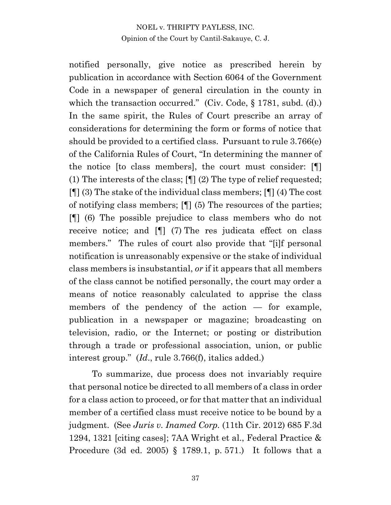notified personally, give notice as prescribed herein by publication in accordance with Section 6064 of the Government Code in a newspaper of general circulation in the county in which the transaction occurred." (Civ. Code, § 1781, subd. (d).) In the same spirit, the Rules of Court prescribe an array of considerations for determining the form or forms of notice that should be provided to a certified class. Pursuant to rule 3.766(e) of the California Rules of Court, "In determining the manner of the notice [to class members], the court must consider: [¶] (1) The interests of the class; [¶] (2) The type of relief requested; [¶] (3) The stake of the individual class members; [¶] (4) The cost of notifying class members; [¶] (5) The resources of the parties; [¶] (6) The possible prejudice to class members who do not receive notice; and [¶] (7) The res judicata effect on class members." The rules of court also provide that "[i]f personal notification is unreasonably expensive or the stake of individual class members is insubstantial, *or* if it appears that all members of the class cannot be notified personally, the court may order a means of notice reasonably calculated to apprise the class members of the pendency of the action — for example, publication in a newspaper or magazine; broadcasting on television, radio, or the Internet; or posting or distribution through a trade or professional association, union, or public interest group." (*Id*., rule 3.766(f), italics added.)

To summarize, due process does not invariably require that personal notice be directed to all members of a class in order for a class action to proceed, or for that matter that an individual member of a certified class must receive notice to be bound by a judgment. (See *Juris v. Inamed Corp.* (11th Cir. 2012) 685 F.3d 1294, 1321 [citing cases]; 7AA Wright et al., Federal Practice & Procedure (3d ed. 2005) § 1789.1, p. 571.) It follows that a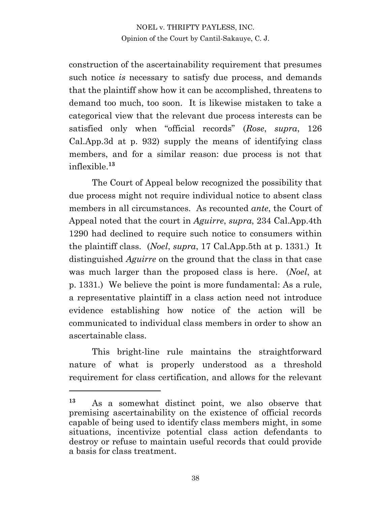construction of the ascertainability requirement that presumes such notice *is* necessary to satisfy due process, and demands that the plaintiff show how it can be accomplished, threatens to demand too much, too soon. It is likewise mistaken to take a categorical view that the relevant due process interests can be satisfied only when "official records" (*Rose*, *supra*, 126 Cal.App.3d at p. 932) supply the means of identifying class members, and for a similar reason: due process is not that inflexible.**<sup>13</sup>**

The Court of Appeal below recognized the possibility that due process might not require individual notice to absent class members in all circumstances. As recounted *ante*, the Court of Appeal noted that the court in *Aguirre*, *supra*, 234 Cal.App.4th 1290 had declined to require such notice to consumers within the plaintiff class. (*Noel*, *supra*, 17 Cal.App.5th at p. 1331.) It distinguished *Aguirre* on the ground that the class in that case was much larger than the proposed class is here. (*Noel*, at p. 1331.) We believe the point is more fundamental: As a rule, a representative plaintiff in a class action need not introduce evidence establishing how notice of the action will be communicated to individual class members in order to show an ascertainable class.

This bright-line rule maintains the straightforward nature of what is properly understood as a threshold requirement for class certification, and allows for the relevant

**<sup>13</sup>** As a somewhat distinct point, we also observe that premising ascertainability on the existence of official records capable of being used to identify class members might, in some situations, incentivize potential class action defendants to destroy or refuse to maintain useful records that could provide a basis for class treatment.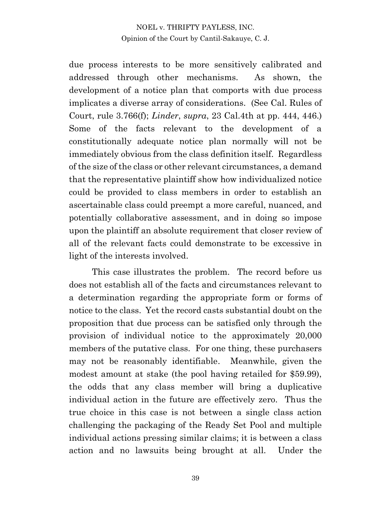due process interests to be more sensitively calibrated and addressed through other mechanisms. As shown, the development of a notice plan that comports with due process implicates a diverse array of considerations. (See Cal. Rules of Court, rule 3.766(f); *Linder*, *supra*, 23 Cal.4th at pp. 444, 446.) Some of the facts relevant to the development of a constitutionally adequate notice plan normally will not be immediately obvious from the class definition itself. Regardless of the size of the class or other relevant circumstances, a demand that the representative plaintiff show how individualized notice could be provided to class members in order to establish an ascertainable class could preempt a more careful, nuanced, and potentially collaborative assessment, and in doing so impose upon the plaintiff an absolute requirement that closer review of all of the relevant facts could demonstrate to be excessive in light of the interests involved.

This case illustrates the problem. The record before us does not establish all of the facts and circumstances relevant to a determination regarding the appropriate form or forms of notice to the class. Yet the record casts substantial doubt on the proposition that due process can be satisfied only through the provision of individual notice to the approximately 20,000 members of the putative class. For one thing, these purchasers may not be reasonably identifiable. Meanwhile, given the modest amount at stake (the pool having retailed for \$59.99), the odds that any class member will bring a duplicative individual action in the future are effectively zero. Thus the true choice in this case is not between a single class action challenging the packaging of the Ready Set Pool and multiple individual actions pressing similar claims; it is between a class action and no lawsuits being brought at all. Under the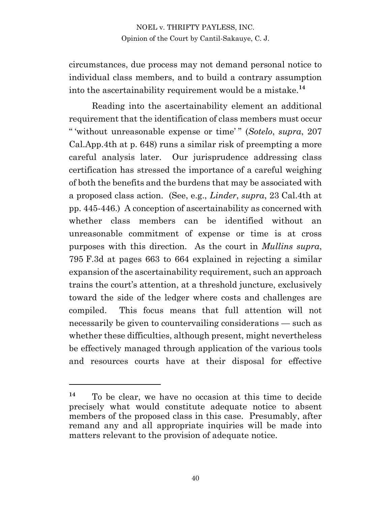circumstances, due process may not demand personal notice to individual class members, and to build a contrary assumption into the ascertainability requirement would be a mistake.**<sup>14</sup>**

Reading into the ascertainability element an additional requirement that the identification of class members must occur " 'without unreasonable expense or time' " (*Sotelo*, *supra*, 207 Cal.App.4th at p. 648) runs a similar risk of preempting a more careful analysis later. Our jurisprudence addressing class certification has stressed the importance of a careful weighing of both the benefits and the burdens that may be associated with a proposed class action. (See, e.g., *Linder*, *supra*, 23 Cal.4th at pp. 445-446.) A conception of ascertainability as concerned with whether class members can be identified without an unreasonable commitment of expense or time is at cross purposes with this direction. As the court in *Mullins supra*, 795 F.3d at pages 663 to 664 explained in rejecting a similar expansion of the ascertainability requirement, such an approach trains the court's attention, at a threshold juncture, exclusively toward the side of the ledger where costs and challenges are compiled. This focus means that full attention will not necessarily be given to countervailing considerations — such as whether these difficulties, although present, might nevertheless be effectively managed through application of the various tools and resources courts have at their disposal for effective

**<sup>14</sup>** To be clear, we have no occasion at this time to decide precisely what would constitute adequate notice to absent members of the proposed class in this case. Presumably, after remand any and all appropriate inquiries will be made into matters relevant to the provision of adequate notice.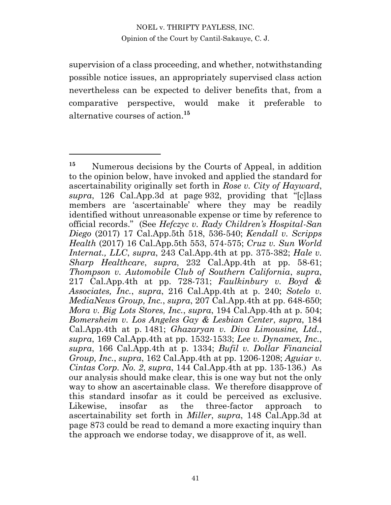supervision of a class proceeding, and whether, notwithstanding possible notice issues, an appropriately supervised class action nevertheless can be expected to deliver benefits that, from a comparative perspective, would make it preferable to alternative courses of action. **15**

**<sup>15</sup>** Numerous decisions by the Courts of Appeal, in addition to the opinion below, have invoked and applied the standard for ascertainability originally set forth in *Rose v. City of Hayward*, *supra*, 126 Cal.App.3d at page 932, providing that "[c]lass members are 'ascertainable' where they may be readily identified without unreasonable expense or time by reference to official records." (See *Hefczyc v. Rady Children's Hospital-San Diego* (2017) 17 Cal.App.5th 518, 536-540; *Kendall v. Scripps Health* (2017) 16 Cal.App.5th 553, 574-575; *Cruz v. Sun World Internat., LLC*, *supra*, 243 Cal.App.4th at pp. 375-382; *Hale v. Sharp Healthcare*, *supra*, 232 Cal.App.4th at pp. 58-61; *Thompson v. Automobile Club of Southern California*, *supra*, 217 Cal.App.4th at pp. 728-731; *Faulkinbury v. Boyd & Associates, Inc.*, *supra*, 216 Cal.App.4th at p. 240; *Sotelo v. MediaNews Group, Inc.*, *supra*, 207 Cal.App.4th at pp. 648-650; *Mora v. Big Lots Stores, Inc.*, *supra*, 194 Cal.App.4th at p. 504; *Bomersheim v. Los Angeles Gay & Lesbian Center*, *supra*, 184 Cal.App.4th at p. 1481; *Ghazaryan v. Diva Limousine, Ltd.*, *supra*, 169 Cal.App.4th at pp. 1532-1533; *Lee v. Dynamex, Inc.*, *supra*, 166 Cal.App.4th at p. 1334; *Bufil v. Dollar Financial Group, Inc.*, *supra*, 162 Cal.App.4th at pp. 1206-1208; *Aguiar v. Cintas Corp. No. 2*, *supra*, 144 Cal.App.4th at pp. 135-136.) As our analysis should make clear, this is one way but not the only way to show an ascertainable class. We therefore disapprove of this standard insofar as it could be perceived as exclusive. Likewise, insofar as the three-factor approach to ascertainability set forth in *Miller*, *supra*, 148 Cal.App.3d at page 873 could be read to demand a more exacting inquiry than the approach we endorse today, we disapprove of it, as well.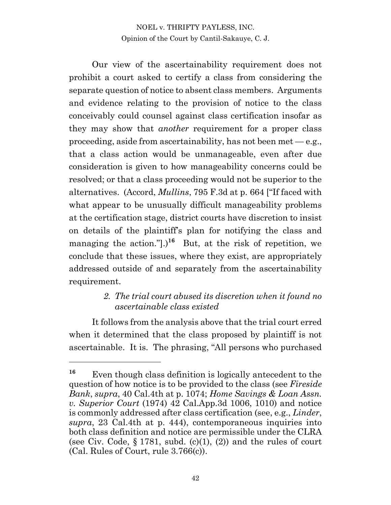Our view of the ascertainability requirement does not prohibit a court asked to certify a class from considering the separate question of notice to absent class members. Arguments and evidence relating to the provision of notice to the class conceivably could counsel against class certification insofar as they may show that *another* requirement for a proper class proceeding, aside from ascertainability, has not been met  $-e.g.,$ that a class action would be unmanageable, even after due consideration is given to how manageability concerns could be resolved; or that a class proceeding would not be superior to the alternatives. (Accord, *Mullins*, 795 F.3d at p. 664 ["If faced with what appear to be unusually difficult manageability problems at the certification stage, district courts have discretion to insist on details of the plaintiff's plan for notifying the class and managing the action." $]$ .)<sup>16</sup> But, at the risk of repetition, we conclude that these issues, where they exist, are appropriately addressed outside of and separately from the ascertainability requirement.

## *2. The trial court abused its discretion when it found no ascertainable class existed*

It follows from the analysis above that the trial court erred when it determined that the class proposed by plaintiff is not ascertainable. It is. The phrasing, "All persons who purchased

**<sup>16</sup>** Even though class definition is logically antecedent to the question of how notice is to be provided to the class (see *Fireside Bank*, *supra*, 40 Cal.4th at p. 1074; *Home Savings & Loan Assn. v. Superior Court* (1974) 42 Cal.App.3d 1006, 1010) and notice is commonly addressed after class certification (see, e.g., *Linder*, *supra*, 23 Cal.4th at p. 444), contemporaneous inquiries into both class definition and notice are permissible under the CLRA (see Civ. Code,  $\S 1781$ , subd. (c)(1), (2)) and the rules of court (Cal. Rules of Court, rule 3.766(c)).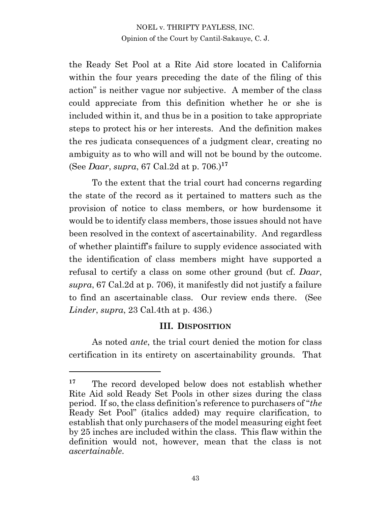the Ready Set Pool at a Rite Aid store located in California within the four years preceding the date of the filing of this action" is neither vague nor subjective. A member of the class could appreciate from this definition whether he or she is included within it, and thus be in a position to take appropriate steps to protect his or her interests. And the definition makes the res judicata consequences of a judgment clear, creating no ambiguity as to who will and will not be bound by the outcome. (See *Daar*, *supra*, 67 Cal.2d at p. 706.)**<sup>17</sup>**

To the extent that the trial court had concerns regarding the state of the record as it pertained to matters such as the provision of notice to class members, or how burdensome it would be to identify class members, those issues should not have been resolved in the context of ascertainability. And regardless of whether plaintiff's failure to supply evidence associated with the identification of class members might have supported a refusal to certify a class on some other ground (but cf. *Daar*, *supra*, 67 Cal.2d at p. 706), it manifestly did not justify a failure to find an ascertainable class. Our review ends there. (See *Linder*, *supra*, 23 Cal.4th at p. 436.)

#### **III. DISPOSITION**

As noted *ante*, the trial court denied the motion for class certification in its entirety on ascertainability grounds. That

**<sup>17</sup>** The record developed below does not establish whether Rite Aid sold Ready Set Pools in other sizes during the class period. If so, the class definition's reference to purchasers of "*the* Ready Set Pool" (italics added) may require clarification, to establish that only purchasers of the model measuring eight feet by 25 inches are included within the class. This flaw within the definition would not, however, mean that the class is not *ascertainable*.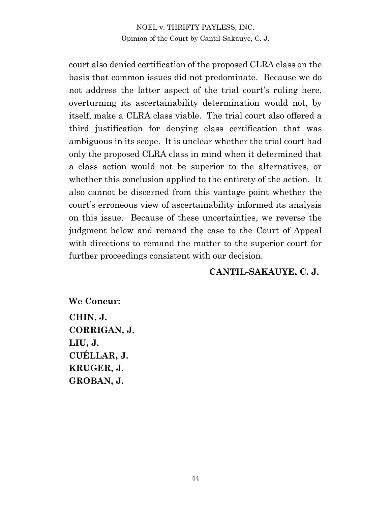court also denied certification of the proposed CLRA class on the basis that common issues did not predominate. Because we do not address the latter aspect of the trial court's ruling here, overturning its ascertainability determination would not, by itself, make a CLRA class viable. The trial court also offered a third justification for denying class certification that was ambiguous in its scope. It is unclear whether the trial court had only the proposed CLRA class in mind when it determined that a class action would not be superior to the alternatives, or whether this conclusion applied to the entirety of the action. It also cannot be discerned from this vantage point whether the court's erroneous view of ascertainability informed its analysis on this issue. Because of these uncertainties, we reverse the judgment below and remand the case to the Court of Appeal with directions to remand the matter to the superior court for further proceedings consistent with our decision.

#### **CANTIL-SAKAUYE, C. J.**

**We Concur: CHIN, J. CORRIGAN, J. LIU, J. CUÉLLAR, J. KRUGER, J. GROBAN, J.**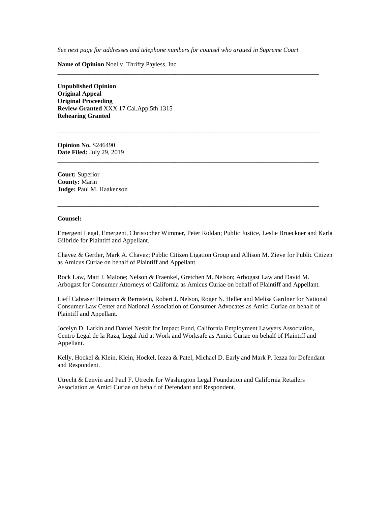*See next page for addresses and telephone numbers for counsel who argued in Supreme Court.*

**\_\_\_\_\_\_\_\_\_\_\_\_\_\_\_\_\_\_\_\_\_\_\_\_\_\_\_\_\_\_\_\_\_\_\_\_\_\_\_\_\_\_\_\_\_\_\_\_\_\_\_\_\_\_\_\_\_\_\_\_\_\_\_\_\_\_\_\_\_\_\_\_\_\_\_\_\_\_\_\_\_\_**

**\_\_\_\_\_\_\_\_\_\_\_\_\_\_\_\_\_\_\_\_\_\_\_\_\_\_\_\_\_\_\_\_\_\_\_\_\_\_\_\_\_\_\_\_\_\_\_\_\_\_\_\_\_\_\_\_\_\_\_\_\_\_\_\_\_\_\_\_\_\_\_\_\_\_\_\_\_\_\_\_\_\_**

**\_\_\_\_\_\_\_\_\_\_\_\_\_\_\_\_\_\_\_\_\_\_\_\_\_\_\_\_\_\_\_\_\_\_\_\_\_\_\_\_\_\_\_\_\_\_\_\_\_\_\_\_\_\_\_\_\_\_\_\_\_\_\_\_\_\_\_\_\_\_\_\_\_\_\_\_\_\_\_\_\_\_**

**\_\_\_\_\_\_\_\_\_\_\_\_\_\_\_\_\_\_\_\_\_\_\_\_\_\_\_\_\_\_\_\_\_\_\_\_\_\_\_\_\_\_\_\_\_\_\_\_\_\_\_\_\_\_\_\_\_\_\_\_\_\_\_\_\_\_\_\_\_\_\_\_\_\_\_\_\_\_\_\_\_\_**

**Name of Opinion** Noel v. Thrifty Payless, Inc.

**Unpublished Opinion Original Appeal Original Proceeding Review Granted** XXX 17 Cal.App.5th 1315 **Rehearing Granted**

**Opinion No.** S246490 **Date Filed:** July 29, 2019

**Court:** Superior **County:** Marin **Judge:** Paul M. Haakenson

#### **Counsel:**

Emergent Legal, Emergent, Christopher Wimmer, Peter Roldan; Public Justice, Leslie Brueckner and Karla Gilbride for Plaintiff and Appellant.

Chavez & Gertler, Mark A. Chavez; Public Citizen Ligation Group and Allison M. Zieve for Public Citizen as Amicus Curiae on behalf of Plaintiff and Appellant.

Rock Law, Matt J. Malone; Nelson & Fraenkel, Gretchen M. Nelson; Arbogast Law and David M. Arbogast for Consumer Attorneys of California as Amicus Curiae on behalf of Plaintiff and Appellant.

Lieff Cabraser Heimann & Bernstein, Robert J. Nelson, Roger N. Heller and Melisa Gardner for National Consumer Law Center and National Association of Consumer Advocates as Amici Curiae on behalf of Plaintiff and Appellant.

Jocelyn D. Larkin and Daniel Nesbit for Impact Fund, California Employment Lawyers Association, Centro Legal de la Raza, Legal Aid at Work and Worksafe as Amici Curiae on behalf of Plaintiff and Appellant.

Kelly, Hockel & Klein, Klein, Hockel, Iezza & Patel, Michael D. Early and Mark P. Iezza for Defendant and Respondent.

Utrecht & Lenvin and Paul F. Utrecht for Washington Legal Foundation and California Retailers Association as Amici Curiae on behalf of Defendant and Respondent.